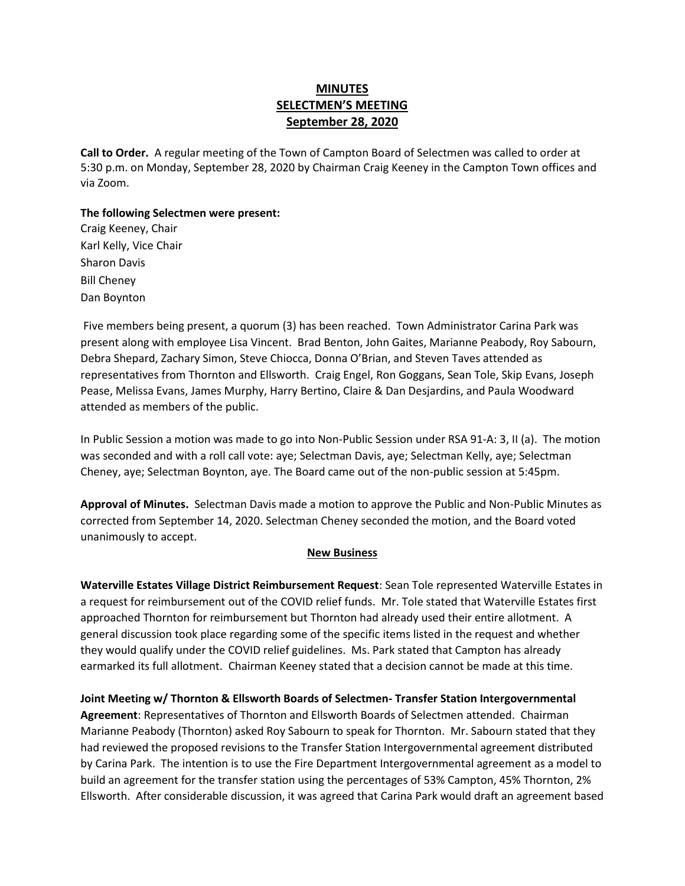# **MINUTES SELECTMEN'S MEETING September 28, 2020**

**Call to Order.** A regular meeting of the Town of Campton Board of Selectmen was called to order at 5:30 p.m. on Monday, September 28, 2020 by Chairman Craig Keeney in the Campton Town offices and via Zoom.

### **The following Selectmen were present:**

Craig Keeney, Chair Karl Kelly, Vice Chair Sharon Davis Bill Cheney Dan Boynton

Five members being present, a quorum (3) has been reached.Town Administrator Carina Park was present along with employee Lisa Vincent. Brad Benton, John Gaites, Marianne Peabody, Roy Sabourn, Debra Shepard, Zachary Simon, Steve Chiocca, Donna O'Brian, and Steven Taves attended as representatives from Thornton and Ellsworth. Craig Engel, Ron Goggans, Sean Tole, Skip Evans, Joseph Pease, Melissa Evans, James Murphy, Harry Bertino, Claire & Dan Desjardins, and Paula Woodward attended as members of the public.

In Public Session a motion was made to go into Non-Public Session under RSA 91-A: 3, II (a). The motion was seconded and with a roll call vote: aye; Selectman Davis, aye; Selectman Kelly, aye; Selectman Cheney, aye; Selectman Boynton, aye. The Board came out of the non-public session at 5:45pm.

**Approval of Minutes.** Selectman Davis made a motion to approve the Public and Non-Public Minutes as corrected from September 14, 2020. Selectman Cheney seconded the motion, and the Board voted unanimously to accept.

#### **New Business**

**Waterville Estates Village District Reimbursement Request**: Sean Tole represented Waterville Estates in a request for reimbursement out of the COVID relief funds. Mr. Tole stated that Waterville Estates first approached Thornton for reimbursement but Thornton had already used their entire allotment. A general discussion took place regarding some of the specific items listed in the request and whether they would qualify under the COVID relief guidelines. Ms. Park stated that Campton has already earmarked its full allotment. Chairman Keeney stated that a decision cannot be made at this time.

**Joint Meeting w/ Thornton & Ellsworth Boards of Selectmen- Transfer Station Intergovernmental Agreement**: Representatives of Thornton and Ellsworth Boards of Selectmen attended. Chairman Marianne Peabody (Thornton) asked Roy Sabourn to speak for Thornton. Mr. Sabourn stated that they had reviewed the proposed revisions to the Transfer Station Intergovernmental agreement distributed by Carina Park. The intention is to use the Fire Department Intergovernmental agreement as a model to build an agreement for the transfer station using the percentages of 53% Campton, 45% Thornton, 2% Ellsworth. After considerable discussion, it was agreed that Carina Park would draft an agreement based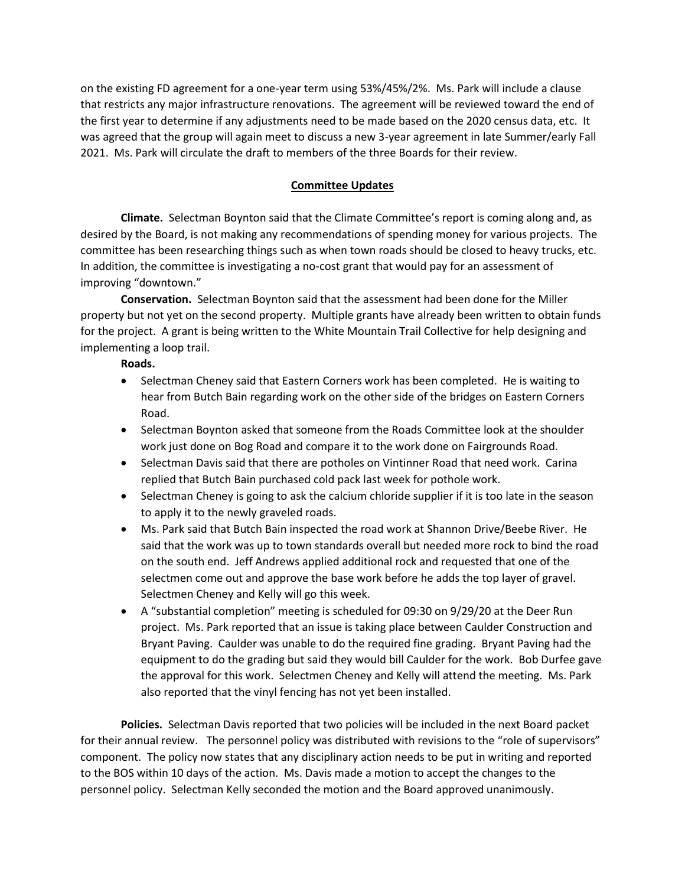on the existing FD agreement for a one-year term using 53%/45%/2%. Ms. Park will include a clause that restricts any major infrastructure renovations. The agreement will be reviewed toward the end of the first year to determine if any adjustments need to be made based on the 2020 census data, etc. It was agreed that the group will again meet to discuss a new 3-year agreement in late Summer/early Fall 2021. Ms. Park will circulate the draft to members of the three Boards for their review.

## **Committee Updates**

**Climate.** Selectman Boynton said that the Climate Committee's report is coming along and, as desired by the Board, is not making any recommendations of spending money for various projects. The committee has been researching things such as when town roads should be closed to heavy trucks, etc. In addition, the committee is investigating a no-cost grant that would pay for an assessment of improving "downtown."

**Conservation.** Selectman Boynton said that the assessment had been done for the Miller property but not yet on the second property. Multiple grants have already been written to obtain funds for the project. A grant is being written to the White Mountain Trail Collective for help designing and implementing a loop trail.

#### **Roads.**

- Selectman Cheney said that Eastern Corners work has been completed. He is waiting to hear from Butch Bain regarding work on the other side of the bridges on Eastern Corners Road.
- Selectman Boynton asked that someone from the Roads Committee look at the shoulder work just done on Bog Road and compare it to the work done on Fairgrounds Road.
- Selectman Davis said that there are potholes on Vintinner Road that need work. Carina replied that Butch Bain purchased cold pack last week for pothole work.
- Selectman Cheney is going to ask the calcium chloride supplier if it is too late in the season to apply it to the newly graveled roads.
- Ms. Park said that Butch Bain inspected the road work at Shannon Drive/Beebe River. He said that the work was up to town standards overall but needed more rock to bind the road on the south end. Jeff Andrews applied additional rock and requested that one of the selectmen come out and approve the base work before he adds the top layer of gravel. Selectmen Cheney and Kelly will go this week.
- A "substantial completion" meeting is scheduled for 09:30 on 9/29/20 at the Deer Run project. Ms. Park reported that an issue is taking place between Caulder Construction and Bryant Paving. Caulder was unable to do the required fine grading. Bryant Paving had the equipment to do the grading but said they would bill Caulder for the work. Bob Durfee gave the approval for this work. Selectmen Cheney and Kelly will attend the meeting. Ms. Park also reported that the vinyl fencing has not yet been installed.

**Policies.** Selectman Davis reported that two policies will be included in the next Board packet for their annual review. The personnel policy was distributed with revisions to the "role of supervisors" component. The policy now states that any disciplinary action needs to be put in writing and reported to the BOS within 10 days of the action. Ms. Davis made a motion to accept the changes to the personnel policy. Selectman Kelly seconded the motion and the Board approved unanimously.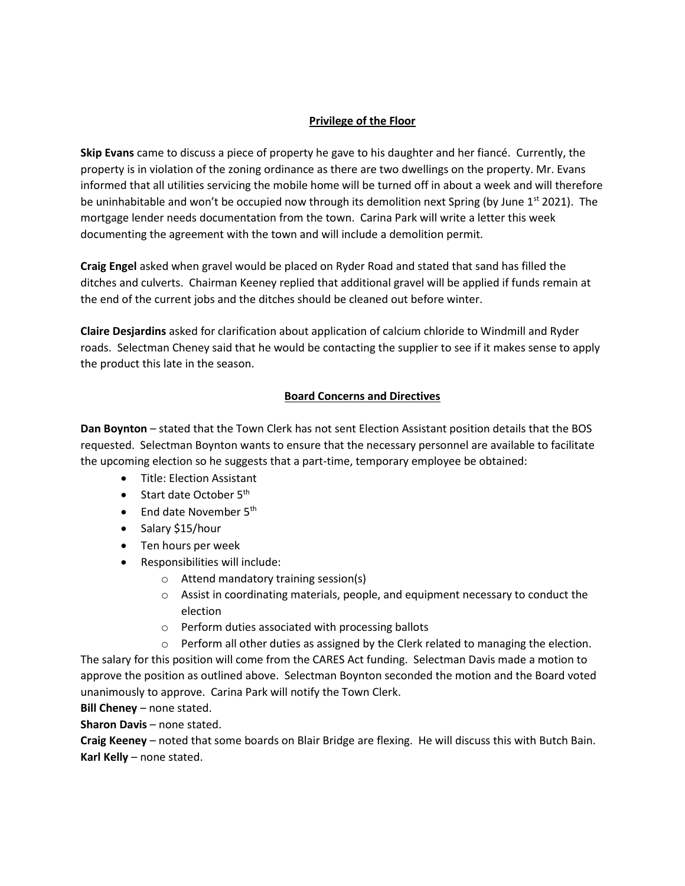## **Privilege of the Floor**

**Skip Evans** came to discuss a piece of property he gave to his daughter and her fiancé. Currently, the property is in violation of the zoning ordinance as there are two dwellings on the property. Mr. Evans informed that all utilities servicing the mobile home will be turned off in about a week and will therefore be uninhabitable and won't be occupied now through its demolition next Spring (by June  $1<sup>st</sup> 2021$ ). The mortgage lender needs documentation from the town. Carina Park will write a letter this week documenting the agreement with the town and will include a demolition permit.

**Craig Engel** asked when gravel would be placed on Ryder Road and stated that sand has filled the ditches and culverts. Chairman Keeney replied that additional gravel will be applied if funds remain at the end of the current jobs and the ditches should be cleaned out before winter.

**Claire Desjardins** asked for clarification about application of calcium chloride to Windmill and Ryder roads. Selectman Cheney said that he would be contacting the supplier to see if it makes sense to apply the product this late in the season.

## **Board Concerns and Directives**

**Dan Boynton** – stated that the Town Clerk has not sent Election Assistant position details that the BOS requested. Selectman Boynton wants to ensure that the necessary personnel are available to facilitate the upcoming election so he suggests that a part-time, temporary employee be obtained:

- Title: Election Assistant
- Start date October 5<sup>th</sup>
- End date November 5<sup>th</sup>
- Salary \$15/hour
- Ten hours per week
- Responsibilities will include:
	- o Attend mandatory training session(s)
	- o Assist in coordinating materials, people, and equipment necessary to conduct the election
	- o Perform duties associated with processing ballots

 $\circ$  Perform all other duties as assigned by the Clerk related to managing the election. The salary for this position will come from the CARES Act funding. Selectman Davis made a motion to approve the position as outlined above. Selectman Boynton seconded the motion and the Board voted unanimously to approve. Carina Park will notify the Town Clerk.

**Bill Cheney** – none stated.

**Sharon Davis** – none stated.

**Craig Keeney** – noted that some boards on Blair Bridge are flexing. He will discuss this with Butch Bain. **Karl Kelly** – none stated.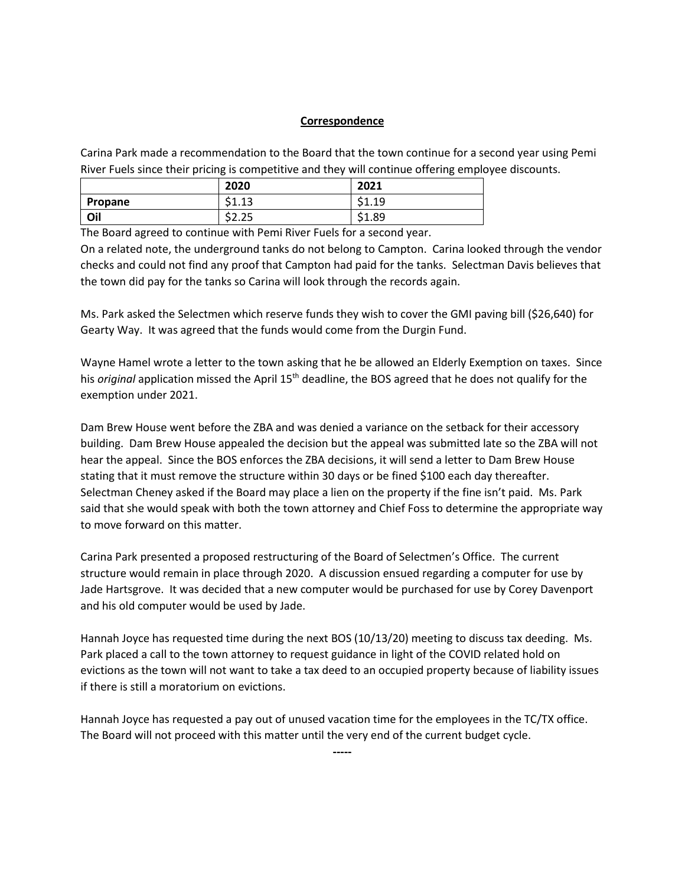#### **Correspondence**

Carina Park made a recommendation to the Board that the town continue for a second year using Pemi River Fuels since their pricing is competitive and they will continue offering employee discounts.

|         | 2020                 | 2021                   |
|---------|----------------------|------------------------|
| Propane | $\sim$<br>cл<br>ᆠᆞᆠᅴ | cа<br>10<br>. <u>.</u> |
| Oil     | <b></b><br>ンム・ムン     | 1.89ءَ<br>۴ı<br>◡      |

The Board agreed to continue with Pemi River Fuels for a second year.

On a related note, the underground tanks do not belong to Campton. Carina looked through the vendor checks and could not find any proof that Campton had paid for the tanks. Selectman Davis believes that the town did pay for the tanks so Carina will look through the records again.

Ms. Park asked the Selectmen which reserve funds they wish to cover the GMI paving bill (\$26,640) for Gearty Way. It was agreed that the funds would come from the Durgin Fund.

Wayne Hamel wrote a letter to the town asking that he be allowed an Elderly Exemption on taxes. Since his *original* application missed the April 15<sup>th</sup> deadline, the BOS agreed that he does not qualify for the exemption under 2021.

Dam Brew House went before the ZBA and was denied a variance on the setback for their accessory building. Dam Brew House appealed the decision but the appeal was submitted late so the ZBA will not hear the appeal. Since the BOS enforces the ZBA decisions, it will send a letter to Dam Brew House stating that it must remove the structure within 30 days or be fined \$100 each day thereafter. Selectman Cheney asked if the Board may place a lien on the property if the fine isn't paid. Ms. Park said that she would speak with both the town attorney and Chief Foss to determine the appropriate way to move forward on this matter.

Carina Park presented a proposed restructuring of the Board of Selectmen's Office. The current structure would remain in place through 2020. A discussion ensued regarding a computer for use by Jade Hartsgrove. It was decided that a new computer would be purchased for use by Corey Davenport and his old computer would be used by Jade.

Hannah Joyce has requested time during the next BOS (10/13/20) meeting to discuss tax deeding. Ms. Park placed a call to the town attorney to request guidance in light of the COVID related hold on evictions as the town will not want to take a tax deed to an occupied property because of liability issues if there is still a moratorium on evictions.

Hannah Joyce has requested a pay out of unused vacation time for the employees in the TC/TX office. The Board will not proceed with this matter until the very end of the current budget cycle.

**-----**